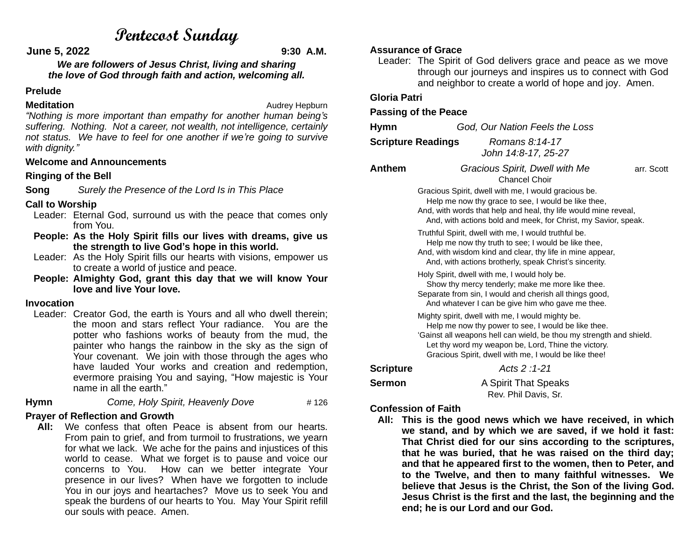# **Pentecost Sunday**

**June 5, 2022 9:30 A.M.**

*We are followers of Jesus Christ, living and sharing the love of God through faith and action, welcoming all.*

#### **Prelude**

**Meditation Meditation Audrey Hepburn** 

*"Nothing is more important than empathy for another human being's suffering. Nothing. Not a career, not wealth, not intelligence, certainly not status. We have to feel for one another if we're going to survive with dignity."*

#### **Welcome and Announcements**

#### **Ringing of the Bell**

**Song** *Surely the Presence of the Lord Is in This Place*

#### **Call to Worship**

- Leader: Eternal God, surround us with the peace that comes only from You.
- **People: As the Holy Spirit fills our lives with dreams, give us the strength to live God's hope in this world.**
- Leader: As the Holy Spirit fills our hearts with visions, empower us to create a world of justice and peace.
- **People: Almighty God, grant this day that we will know Your love and live Your love.**

#### **Invocation**

Leader: Creator God, the earth is Yours and all who dwell therein: the moon and stars reflect Your radiance. You are the potter who fashions works of beauty from the mud, the painter who hangs the rainbow in the sky as the sign of Your covenant. We join with those through the ages who have lauded Your works and creation and redemption, evermore praising You and saying, "How majestic is Your name in all the earth."

**Hymn** *Come, Holy Spirit, Heavenly Dove* # 126

### **Prayer of Reflection and Growth**

 **All:** We confess that often Peace is absent from our hearts. From pain to grief, and from turmoil to frustrations, we yearn for what we lack. We ache for the pains and injustices of this world to cease. What we forget is to pause and voice our concerns to You. How can we better integrate Your presence in our lives? When have we forgotten to include You in our joys and heartaches? Move us to seek You and speak the burdens of our hearts to You. May Your Spirit refill our souls with peace. Amen.

#### **Assurance of Grace**

Leader: The Spirit of God delivers grace and peace as we move through our journeys and inspires us to connect with God and neighbor to create a world of hope and joy. Amen.

#### **Gloria Patri**

#### **Passing of the Peace**

| Hymn   |                                                                                                                                                                                                                                                  | God, Our Nation Feels the Loss                  |            |  |
|--------|--------------------------------------------------------------------------------------------------------------------------------------------------------------------------------------------------------------------------------------------------|-------------------------------------------------|------------|--|
|        | <b>Scripture Readings</b>                                                                                                                                                                                                                        | Romans 8:14-17<br>John 14:8-17, 25-27           |            |  |
| Anthem |                                                                                                                                                                                                                                                  | Gracious Spirit, Dwell with Me<br>Chancel Choir | arr. Scott |  |
|        | Gracious Spirit, dwell with me, I would gracious be.<br>Help me now thy grace to see, I would be like thee,<br>And, with words that help and heal, thy life would mine reveal,<br>And, with actions bold and meek, for Christ, my Savior, speak. |                                                 |            |  |
|        | Truthful Spirit, dwell with me, I would truthful be.<br>Help me now thy truth to see; I would be like thee,                                                                                                                                      |                                                 |            |  |

- And, with wisdom kind and clear, thy life in mine appear, And, with actions brotherly, speak Christ's sincerity.
- Holy Spirit, dwell with me, I would holy be. Show thy mercy tenderly; make me more like thee. Separate from sin, I would and cherish all things good,

 And whatever I can be give him who gave me thee. Mighty spirit, dwell with me, I would mighty be. Help me now thy power to see, I would be like thee. 'Gainst all weapons hell can wield, be thou my strength and shield. Let thy word my weapon be, Lord, Thine the victory.

Gracious Spirit, dwell with me, I would be like thee!

**Scripture** *Acts 2 :1-21*

**Sermon** A Spirit That Speaks Rev. Phil Davis, Sr.

# **Confession of Faith**

 **All: This is the good news which we have received, in which we stand, and by which we are saved, if we hold it fast: That Christ died for our sins according to the scriptures, that he was buried, that he was raised on the third day; and that he appeared first to the women, then to Peter, and to the Twelve, and then to many faithful witnesses. We believe that Jesus is the Christ, the Son of the living God. Jesus Christ is the first and the last, the beginning and the end; he is our Lord and our God.**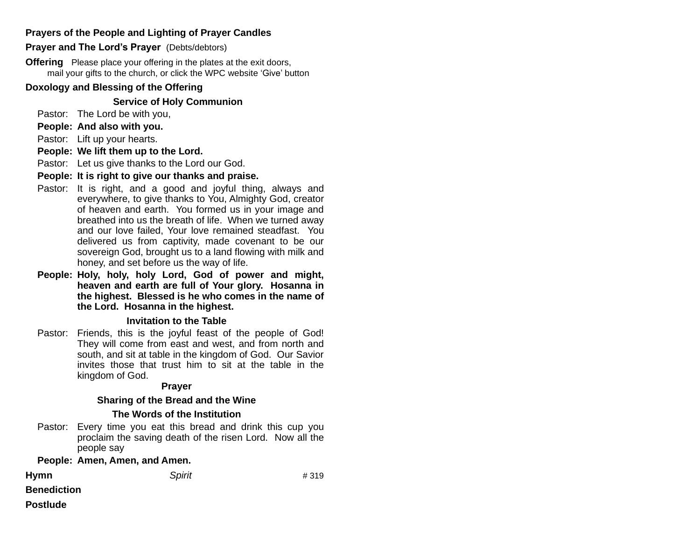# **Prayers of the People and Lighting of Prayer Candles**

#### **Prayer and The Lord's Prayer** (Debts/debtors)

**Offering** Please place your offering in the plates at the exit doors, mail your gifts to the church, or click the WPC website 'Give' button

#### **Doxology and Blessing of the Offering**

#### **Service of Holy Communion**

- Pastor: The Lord be with you,
- **People: And also with you.**
- Pastor: Lift up your hearts.
- **People: We lift them up to the Lord.**
- Pastor: Let us give thanks to the Lord our God.
- **People: It is right to give our thanks and praise.**
- Pastor: It is right, and a good and joyful thing, always and everywhere, to give thanks to You, Almighty God, creator of heaven and earth. You formed us in your image and breathed into us the breath of life. When we turned away and our love failed, Your love remained steadfast. You delivered us from captivity, made covenant to be our sovereign God, brought us to a land flowing with milk and honey, and set before us the way of life.
- **People: Holy, holy, holy Lord, God of power and might, heaven and earth are full of Your glory. Hosanna in the highest. Blessed is he who comes in the name of the Lord. Hosanna in the highest.**

#### **Invitation to the Table**

Pastor: Friends, this is the joyful feast of the people of God! They will come from east and west, and from north and south, and sit at table in the kingdom of God. Our Savior invites those that trust him to sit at the table in the kingdom of God.

#### **Prayer**

#### **Sharing of the Bread and the Wine**

#### **The Words of the Institution**

Pastor: Every time you eat this bread and drink this cup you proclaim the saving death of the risen Lord. Now all the people say

#### **People: Amen, Amen, and Amen.**

| <b>Hymn</b>        | <b>Spirit</b> | #319 |
|--------------------|---------------|------|
| <b>Benediction</b> |               |      |
| <b>Postlude</b>    |               |      |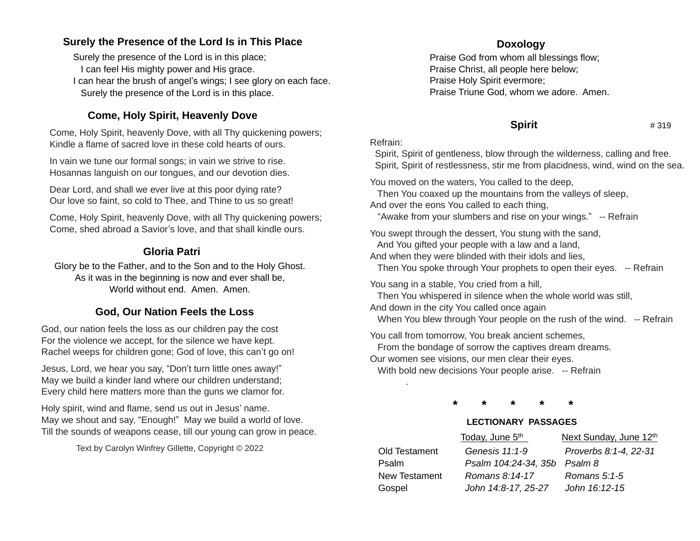# **Surely the Presence of the Lord Is in This Place**

Surely the presence of the Lord is in this place; I can feel His mighty power and His grace. I can hear the brush of angel's wings; I see glory on each face. Surely the presence of the Lord is in this place.

# **Come, Holy Spirit, Heavenly Dove**

Come, Holy Spirit, heavenly Dove, with all Thy quickening powers; Kindle a flame of sacred love in these cold hearts of ours.

In vain we tune our formal songs; in vain we strive to rise. Hosannas languish on our tongues, and our devotion dies.

Dear Lord, and shall we ever live at this poor dying rate? Our love so faint, so cold to Thee, and Thine to us so great!

Come, Holy Spirit, heavenly Dove, with all Thy quickening powers; Come, shed abroad a Savior's love, and that shall kindle ours.

# **Gloria Patri**

Glory be to the Father, and to the Son and to the Holy Ghost. As it was in the beginning is now and ever shall be, World without end. Amen. Amen.

# **God, Our Nation Feels the Loss**

God, our nation feels the loss as our children pay the cost For the violence we accept, for the silence we have kept. Rachel weeps for children gone; God of love, this can't go on!

Jesus, Lord, we hear you say, "Don't turn little ones away!" May we build a kinder land where our children understand; Every child here matters more than the guns we clamor for.

Holy spirit, wind and flame, send us out in Jesus' name. May we shout and say, "Enough!" May we build a world of love. Till the sounds of weapons cease, till our young can grow in peace.

Text by Carolyn Winfrey Gillette, Copyright © 2022

# **Doxology**

Praise God from whom all blessings flow; Praise Christ, all people here below; Praise Holy Spirit evermore; Praise Triune God, whom we adore. Amen.

# **Spirit** # 319

### Refrain:

Spirit, Spirit of gentleness, blow through the wilderness, calling and free. Spirit, Spirit of restlessness, stir me from placidness, wind, wind on the sea.

You moved on the waters, You called to the deep,

 Then You coaxed up the mountains from the valleys of sleep, And over the eons You called to each thing,

"Awake from your slumbers and rise on your wings." -- Refrain

You swept through the dessert, You stung with the sand, And You gifted your people with a law and a land,

And when they were blinded with their idols and lies,

Then You spoke through Your prophets to open their eyes. -- Refrain

You sang in a stable, You cried from a hill,

Then You whispered in silence when the whole world was still,

And down in the city You called once again

.

When You blew through Your people on the rush of the wind. -- Refrain

You call from tomorrow, You break ancient schemes, From the bondage of sorrow the captives dream dreams. Our women see visions, our men clear their eyes. With bold new decisions Your people arise. -- Refrain

**\* \* \* \* \***

# **LECTIONARY PASSAGES**

|               | Today, June 5 <sup>th</sup>  | Next Sunday, June 12th |
|---------------|------------------------------|------------------------|
| Old Testament | Genesis 11:1-9               | Proverbs 8:1-4, 22-31  |
| Psalm         | Psalm 104:24-34, 35b Psalm 8 |                        |
| New Testament | Romans 8:14-17               | Romans $5:1-5$         |
| Gospel        | John 14:8-17, 25-27          | John 16:12-15          |